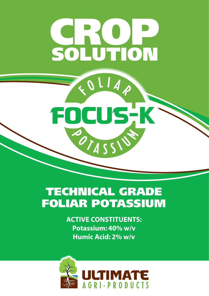# CROP SOLUTION

 $QLI$ 

FOCUSK

POTASSI

## TECHNICAL GRADE FOLIAR POTASSIUM

**ACTIVE CONSTITUENTS: Potassium: 40% w/v Humic Acid: 2% w/v**